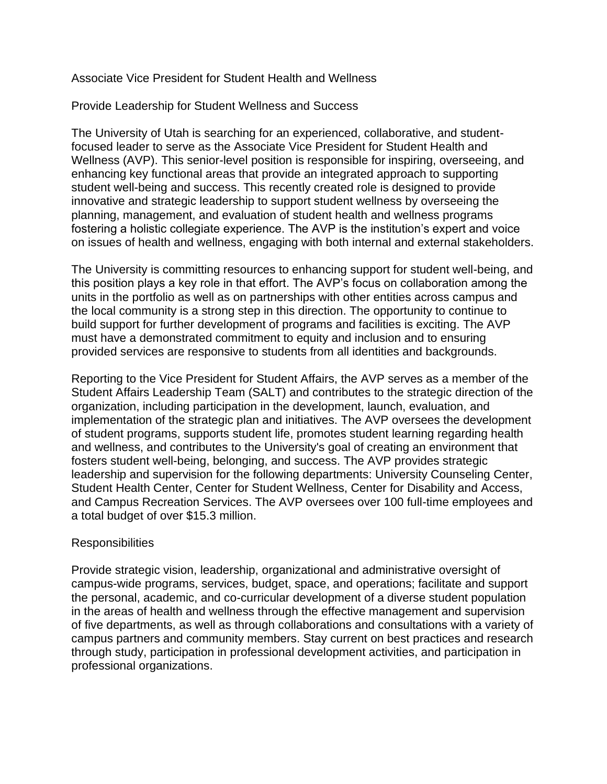# Associate Vice President for Student Health and Wellness

Provide Leadership for Student Wellness and Success

The University of Utah is searching for an experienced, collaborative, and studentfocused leader to serve as the Associate Vice President for Student Health and Wellness (AVP). This senior-level position is responsible for inspiring, overseeing, and enhancing key functional areas that provide an integrated approach to supporting student well-being and success. This recently created role is designed to provide innovative and strategic leadership to support student wellness by overseeing the planning, management, and evaluation of student health and wellness programs fostering a holistic collegiate experience. The AVP is the institution's expert and voice on issues of health and wellness, engaging with both internal and external stakeholders.

The University is committing resources to enhancing support for student well-being, and this position plays a key role in that effort. The AVP's focus on collaboration among the units in the portfolio as well as on partnerships with other entities across campus and the local community is a strong step in this direction. The opportunity to continue to build support for further development of programs and facilities is exciting. The AVP must have a demonstrated commitment to equity and inclusion and to ensuring provided services are responsive to students from all identities and backgrounds.

Reporting to the Vice President for Student Affairs, the AVP serves as a member of the Student Affairs Leadership Team (SALT) and contributes to the strategic direction of the organization, including participation in the development, launch, evaluation, and implementation of the strategic plan and initiatives. The AVP oversees the development of student programs, supports student life, promotes student learning regarding health and wellness, and contributes to the University's goal of creating an environment that fosters student well-being, belonging, and success. The AVP provides strategic leadership and supervision for the following departments: University Counseling Center, Student Health Center, Center for Student Wellness, Center for Disability and Access, and Campus Recreation Services. The AVP oversees over 100 full-time employees and a total budget of over \$15.3 million.

# Responsibilities

Provide strategic vision, leadership, organizational and administrative oversight of campus-wide programs, services, budget, space, and operations; facilitate and support the personal, academic, and co-curricular development of a diverse student population in the areas of health and wellness through the effective management and supervision of five departments, as well as through collaborations and consultations with a variety of campus partners and community members. Stay current on best practices and research through study, participation in professional development activities, and participation in professional organizations.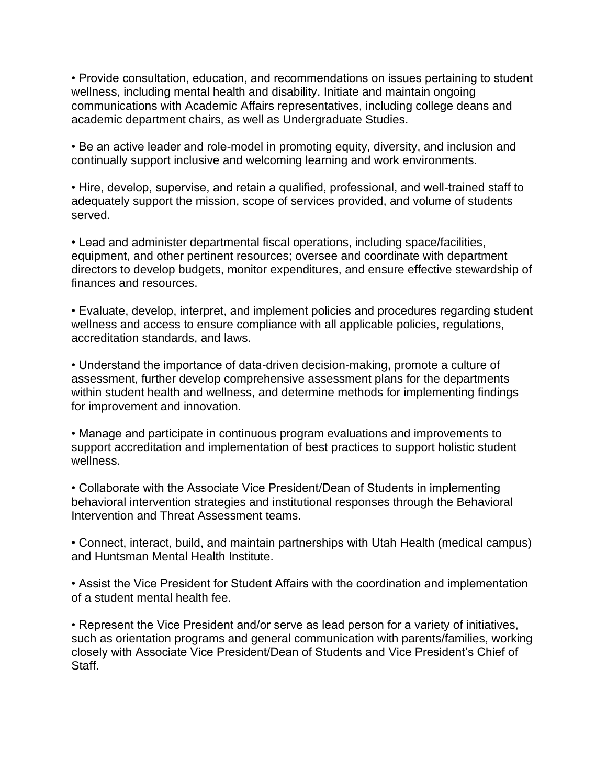• Provide consultation, education, and recommendations on issues pertaining to student wellness, including mental health and disability. Initiate and maintain ongoing communications with Academic Affairs representatives, including college deans and academic department chairs, as well as Undergraduate Studies.

• Be an active leader and role-model in promoting equity, diversity, and inclusion and continually support inclusive and welcoming learning and work environments.

• Hire, develop, supervise, and retain a qualified, professional, and well-trained staff to adequately support the mission, scope of services provided, and volume of students served.

• Lead and administer departmental fiscal operations, including space/facilities, equipment, and other pertinent resources; oversee and coordinate with department directors to develop budgets, monitor expenditures, and ensure effective stewardship of finances and resources.

• Evaluate, develop, interpret, and implement policies and procedures regarding student wellness and access to ensure compliance with all applicable policies, regulations, accreditation standards, and laws.

• Understand the importance of data-driven decision-making, promote a culture of assessment, further develop comprehensive assessment plans for the departments within student health and wellness, and determine methods for implementing findings for improvement and innovation.

• Manage and participate in continuous program evaluations and improvements to support accreditation and implementation of best practices to support holistic student wellness.

• Collaborate with the Associate Vice President/Dean of Students in implementing behavioral intervention strategies and institutional responses through the Behavioral Intervention and Threat Assessment teams.

• Connect, interact, build, and maintain partnerships with Utah Health (medical campus) and Huntsman Mental Health Institute.

• Assist the Vice President for Student Affairs with the coordination and implementation of a student mental health fee.

• Represent the Vice President and/or serve as lead person for a variety of initiatives, such as orientation programs and general communication with parents/families, working closely with Associate Vice President/Dean of Students and Vice President's Chief of Staff.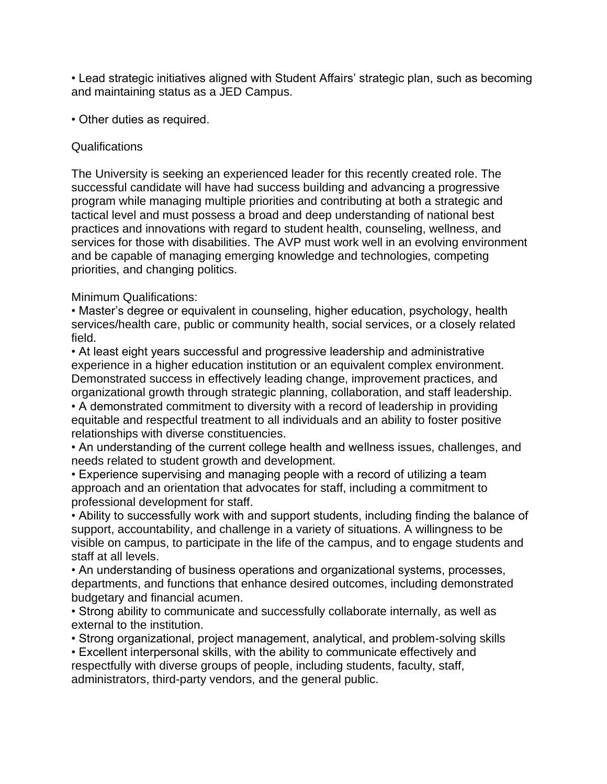• Lead strategic initiatives aligned with Student Affairs' strategic plan, such as becoming and maintaining status as a JED Campus.

• Other duties as required.

## Qualifications

The University is seeking an experienced leader for this recently created role. The successful candidate will have had success building and advancing a progressive program while managing multiple priorities and contributing at both a strategic and tactical level and must possess a broad and deep understanding of national best practices and innovations with regard to student health, counseling, wellness, and services for those with disabilities. The AVP must work well in an evolving environment and be capable of managing emerging knowledge and technologies, competing priorities, and changing politics.

# Minimum Qualifications:

• Master's degree or equivalent in counseling, higher education, psychology, health services/health care, public or community health, social services, or a closely related field.

• At least eight years successful and progressive leadership and administrative experience in a higher education institution or an equivalent complex environment. Demonstrated success in effectively leading change, improvement practices, and organizational growth through strategic planning, collaboration, and staff leadership.

• A demonstrated commitment to diversity with a record of leadership in providing equitable and respectful treatment to all individuals and an ability to foster positive relationships with diverse constituencies.

• An understanding of the current college health and wellness issues, challenges, and needs related to student growth and development.

• Experience supervising and managing people with a record of utilizing a team approach and an orientation that advocates for staff, including a commitment to professional development for staff.

• Ability to successfully work with and support students, including finding the balance of support, accountability, and challenge in a variety of situations. A willingness to be visible on campus, to participate in the life of the campus, and to engage students and staff at all levels.

• An understanding of business operations and organizational systems, processes, departments, and functions that enhance desired outcomes, including demonstrated budgetary and financial acumen.

• Strong ability to communicate and successfully collaborate internally, as well as external to the institution.

• Strong organizational, project management, analytical, and problem-solving skills • Excellent interpersonal skills, with the ability to communicate effectively and respectfully with diverse groups of people, including students, faculty, staff, administrators, third-party vendors, and the general public.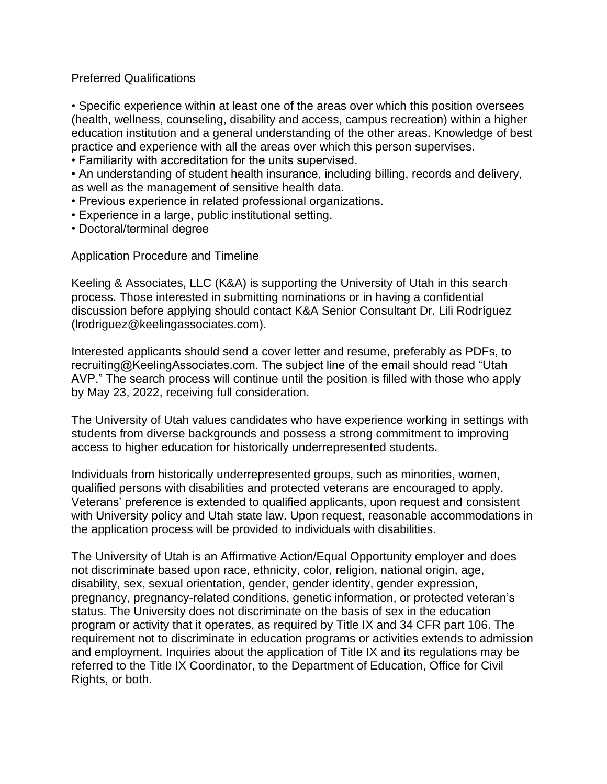# Preferred Qualifications

• Specific experience within at least one of the areas over which this position oversees (health, wellness, counseling, disability and access, campus recreation) within a higher education institution and a general understanding of the other areas. Knowledge of best practice and experience with all the areas over which this person supervises.

• Familiarity with accreditation for the units supervised.

• An understanding of student health insurance, including billing, records and delivery, as well as the management of sensitive health data.

- Previous experience in related professional organizations.
- Experience in a large, public institutional setting.
- Doctoral/terminal degree

Application Procedure and Timeline

Keeling & Associates, LLC (K&A) is supporting the University of Utah in this search process. Those interested in submitting nominations or in having a confidential discussion before applying should contact K&A Senior Consultant Dr. Lili Rodríguez (lrodriguez@keelingassociates.com).

Interested applicants should send a cover letter and resume, preferably as PDFs, to recruiting@KeelingAssociates.com. The subject line of the email should read "Utah AVP." The search process will continue until the position is filled with those who apply by May 23, 2022, receiving full consideration.

The University of Utah values candidates who have experience working in settings with students from diverse backgrounds and possess a strong commitment to improving access to higher education for historically underrepresented students.

Individuals from historically underrepresented groups, such as minorities, women, qualified persons with disabilities and protected veterans are encouraged to apply. Veterans' preference is extended to qualified applicants, upon request and consistent with University policy and Utah state law. Upon request, reasonable accommodations in the application process will be provided to individuals with disabilities.

The University of Utah is an Affirmative Action/Equal Opportunity employer and does not discriminate based upon race, ethnicity, color, religion, national origin, age, disability, sex, sexual orientation, gender, gender identity, gender expression, pregnancy, pregnancy-related conditions, genetic information, or protected veteran's status. The University does not discriminate on the basis of sex in the education program or activity that it operates, as required by Title IX and 34 CFR part 106. The requirement not to discriminate in education programs or activities extends to admission and employment. Inquiries about the application of Title IX and its regulations may be referred to the Title IX Coordinator, to the Department of Education, Office for Civil Rights, or both.